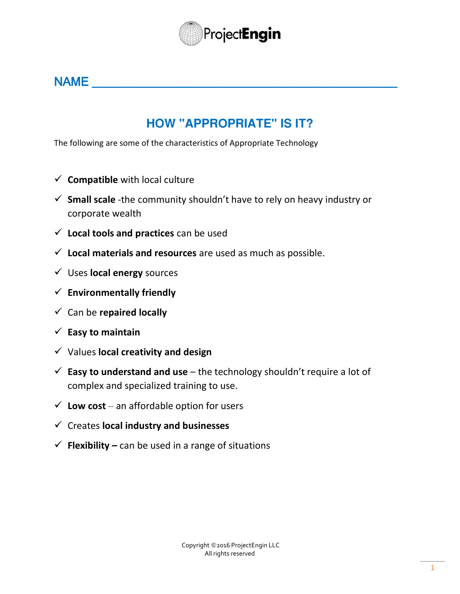

### $NAME$

### **HOW "APPROPRIATE" IS IT?**

The following are some of the characteristics of Appropriate Technology

- $\checkmark$  **Compatible** with local culture
- **Small scale** -the community shouldn't have to rely on heavy industry or corporate wealth
- **Local tools and practices** can be used
- **Local materials and resources** are used as much as possible.
- Uses **local energy** sources
- **Environmentally friendly**
- Can be **repaired locally**
- $\checkmark$  Easy to maintain
- Values **local creativity and design**
- **Easy to understand and use** the technology shouldn't require a lot of complex and specialized training to use.
- $\checkmark$  Low cost an affordable option for users
- Creates **local industry and businesses**
- $\checkmark$  **Flexibility** can be used in a range of situations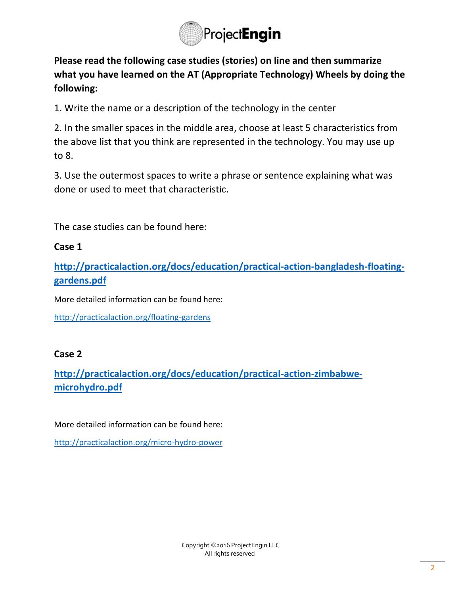

**Please read the following case studies (stories) on line and then summarize what you have learned on the AT (Appropriate Technology) Wheels by doing the following:**

1. Write the name or a description of the technology in the center

2. In the smaller spaces in the middle area, choose at least 5 characteristics from the above list that you think are represented in the technology. You may use up to 8.

3. Use the outermost spaces to write a phrase or sentence explaining what was done or used to meet that characteristic.

The case studies can be found here:

#### **Case 1**

**[http://practicalaction.org/docs/education/practical-action-bangladesh-floating](http://practicalaction.org/docs/education/practical-action-bangladesh-floating-gardens.pdf)[gardens.pdf](http://practicalaction.org/docs/education/practical-action-bangladesh-floating-gardens.pdf)**

More detailed information can be found here:

<http://practicalaction.org/floating-gardens>

#### **Case 2**

**[http://practicalaction.org/docs/education/practical-action-zimbabwe](http://practicalaction.org/docs/education/practical-action-zimbabwe-microhydro.pdf)[microhydro.pdf](http://practicalaction.org/docs/education/practical-action-zimbabwe-microhydro.pdf)**

More detailed information can be found here:

<http://practicalaction.org/micro-hydro-power>

Copyright @2016 ProjectEngin LLC All rights reserved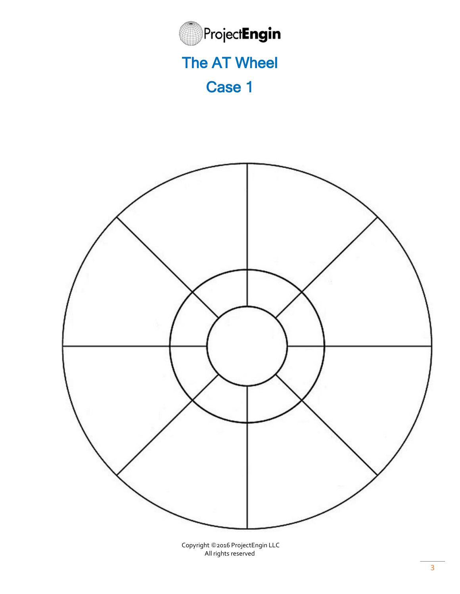

# The AT Wheel

## Case 1



Copyright ©2016 ProjectEngin LLC All rights reserved